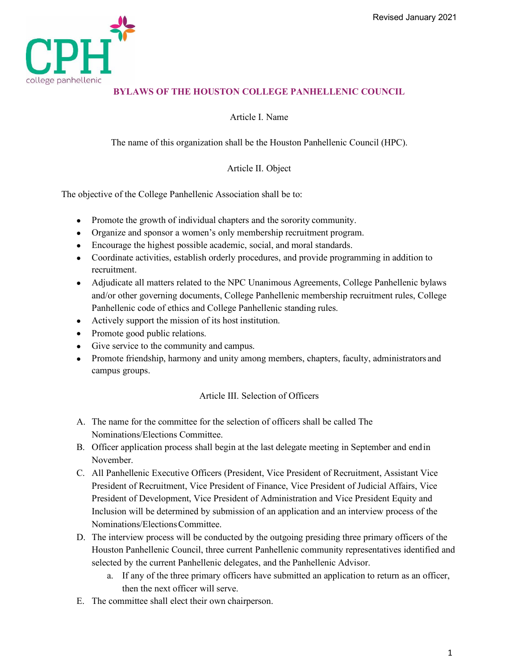

# **BYLAWS OF THE HOUSTON COLLEGE PANHELLENIC COUNCIL**

Article I. Name

The name of this organization shall be the Houston Panhellenic Council (HPC).

### Article II. Object

The objective of the College Panhellenic Association shall be to:

- Promote the growth of individual chapters and the sorority community.
- Organize and sponsor a women's only membership recruitment program.
- Encourage the highest possible academic, social, and moral standards.
- Coordinate activities, establish orderly procedures, and provide programming in addition to recruitment.
- Adjudicate all matters related to the NPC Unanimous Agreements, College Panhellenic bylaws and/or other governing documents, College Panhellenic membership recruitment rules, College Panhellenic code of ethics and College Panhellenic standing rules.
- Actively support the mission of its host institution.
- Promote good public relations.
- Give service to the community and campus.
- Promote friendship, harmony and unity among members, chapters, faculty, administrators and campus groups.

#### Article III. Selection of Officers

- A. The name for the committee for the selection of officers shall be called The Nominations/Elections Committee.
- B. Officer application process shall begin at the last delegate meeting in September and endin November.
- C. All Panhellenic Executive Officers (President, Vice President of Recruitment, Assistant Vice President of Recruitment, Vice President of Finance, Vice President of Judicial Affairs, Vice President of Development, Vice President of Administration and Vice President Equity and Inclusion will be determined by submission of an application and an interview process of the Nominations/ElectionsCommittee.
- D. The interview process will be conducted by the outgoing presiding three primary officers of the Houston Panhellenic Council, three current Panhellenic community representatives identified and selected by the current Panhellenic delegates, and the Panhellenic Advisor.
	- a. If any of the three primary officers have submitted an application to return as an officer, then the next officer will serve.
- E. The committee shall elect their own chairperson.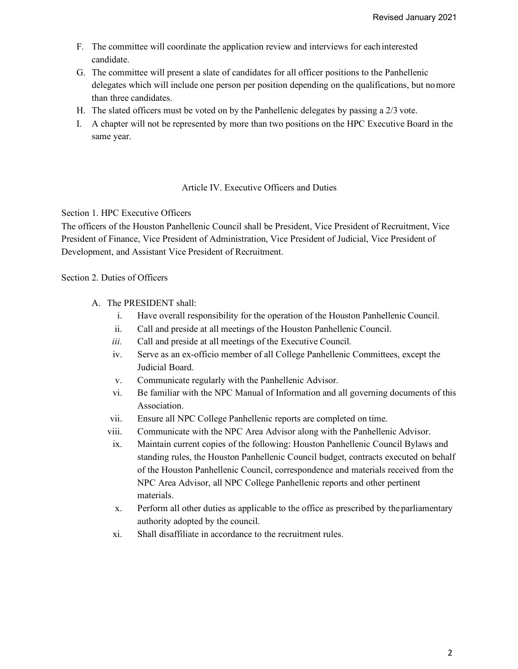- F. The committee will coordinate the application review and interviews for eachinterested candidate.
- G. The committee will present a slate of candidates for all officer positions to the Panhellenic delegates which will include one person per position depending on the qualifications, but nomore than three candidates.
- H. The slated officers must be voted on by the Panhellenic delegates by passing a 2/3 vote.
- I. A chapter will not be represented by more than two positions on the HPC Executive Board in the same year.

# Article IV. Executive Officers and Duties

#### Section 1. HPC Executive Officers

The officers of the Houston Panhellenic Council shall be President, Vice President of Recruitment, Vice President of Finance, Vice President of Administration, Vice President of Judicial, Vice President of Development, and Assistant Vice President of Recruitment.

### Section 2. Duties of Officers

- A. The PRESIDENT shall:
	- i. Have overall responsibility for the operation of the Houston Panhellenic Council.
	- ii. Call and preside at all meetings of the Houston Panhellenic Council.
	- *iii.* Call and preside at all meetings of the Executive Council*.*
	- iv. Serve as an ex-officio member of all College Panhellenic Committees, except the Judicial Board.
	- v. Communicate regularly with the Panhellenic Advisor.
	- vi. Be familiar with the NPC Manual of Information and all governing documents of this Association.
	- vii. Ensure all NPC College Panhellenic reports are completed on time.
	- viii. Communicate with the NPC Area Advisor along with the Panhellenic Advisor.
	- ix. Maintain current copies of the following: Houston Panhellenic Council Bylaws and standing rules, the Houston Panhellenic Council budget, contracts executed on behalf of the Houston Panhellenic Council, correspondence and materials received from the NPC Area Advisor, all NPC College Panhellenic reports and other pertinent materials.
	- x. Perform all other duties as applicable to the office as prescribed by theparliamentary authority adopted by the council.
	- xi. Shall disaffiliate in accordance to the recruitment rules.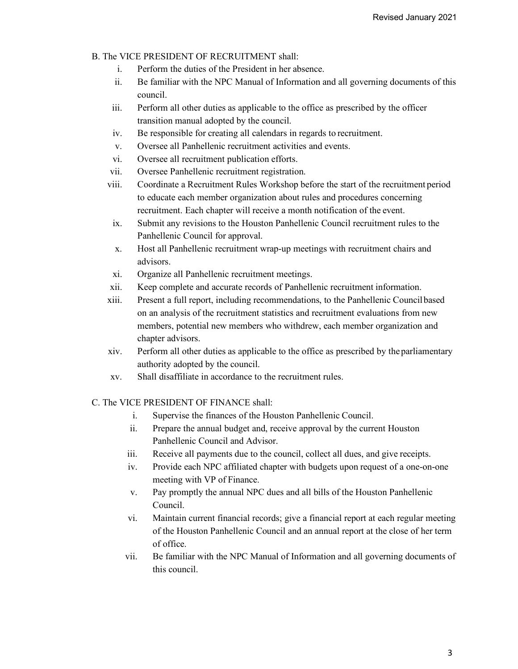- B. The VICE PRESIDENT OF RECRUITMENT shall:
	- i. Perform the duties of the President in her absence.
	- ii. Be familiar with the NPC Manual of Information and all governing documents of this council.
	- iii. Perform all other duties as applicable to the office as prescribed by the officer transition manual adopted by the council.
	- iv. Be responsible for creating all calendars in regards to recruitment.
	- v. Oversee all Panhellenic recruitment activities and events.
	- vi. Oversee all recruitment publication efforts.
	- vii. Oversee Panhellenic recruitment registration.
	- viii. Coordinate a Recruitment Rules Workshop before the start of the recruitment period to educate each member organization about rules and procedures concerning recruitment. Each chapter will receive a month notification of the event.
		- ix. Submit any revisions to the Houston Panhellenic Council recruitment rules to the Panhellenic Council for approval.
		- x. Host all Panhellenic recruitment wrap-up meetings with recruitment chairs and advisors.
		- xi. Organize all Panhellenic recruitment meetings.
	- xii. Keep complete and accurate records of Panhellenic recruitment information.
	- xiii. Present a full report, including recommendations, to the Panhellenic Councilbased on an analysis of the recruitment statistics and recruitment evaluations from new members, potential new members who withdrew, each member organization and chapter advisors.
	- xiv. Perform all other duties as applicable to the office as prescribed by theparliamentary authority adopted by the council.
	- xv. Shall disaffiliate in accordance to the recruitment rules.

## C. The VICE PRESIDENT OF FINANCE shall:

- i. Supervise the finances of the Houston Panhellenic Council.
- ii. Prepare the annual budget and, receive approval by the current Houston Panhellenic Council and Advisor.
- iii. Receive all payments due to the council, collect all dues, and give receipts.
- iv. Provide each NPC affiliated chapter with budgets upon request of a one-on-one meeting with VP of Finance.
- v. Pay promptly the annual NPC dues and all bills of the Houston Panhellenic Council.
- vi. Maintain current financial records; give a financial report at each regular meeting of the Houston Panhellenic Council and an annual report at the close of her term of office.
- vii. Be familiar with the NPC Manual of Information and all governing documents of this council.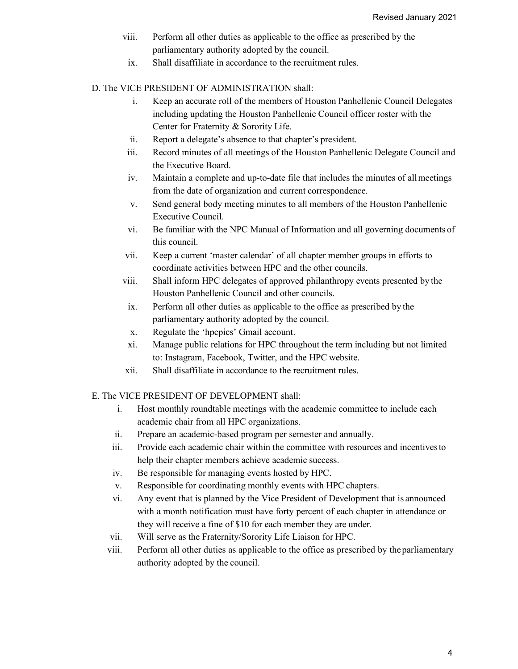- viii. Perform all other duties as applicable to the office as prescribed by the parliamentary authority adopted by the council.
- ix. Shall disaffiliate in accordance to the recruitment rules.

## D. The VICE PRESIDENT OF ADMINISTRATION shall:

- i. Keep an accurate roll of the members of Houston Panhellenic Council Delegates including updating the Houston Panhellenic Council officer roster with the Center for Fraternity & Sorority Life.
- ii. Report a delegate's absence to that chapter's president.
- iii. Record minutes of all meetings of the Houston Panhellenic Delegate Council and the Executive Board.
- iv. Maintain a complete and up-to-date file that includes the minutes of allmeetings from the date of organization and current correspondence.
- v. Send general body meeting minutes to all members of the Houston Panhellenic Executive Council.
- vi. Be familiar with the NPC Manual of Information and all governing documents of this council.
- vii. Keep a current 'master calendar' of all chapter member groups in efforts to coordinate activities between HPC and the other councils.
- viii. Shall inform HPC delegates of approved philanthropy events presented by the Houston Panhellenic Council and other councils.
- ix. Perform all other duties as applicable to the office as prescribed by the parliamentary authority adopted by the council.
- x. Regulate the 'hpcpics' Gmail account.
- xi. Manage public relations for HPC throughout the term including but not limited to: Instagram, Facebook, Twitter, and the HPC website.
- xii. Shall disaffiliate in accordance to the recruitment rules.

## E. The VICE PRESIDENT OF DEVELOPMENT shall:

- i. Host monthly roundtable meetings with the academic committee to include each academic chair from all HPC organizations.
- ii. Prepare an academic-based program per semester and annually.
- iii. Provide each academic chair within the committee with resources and incentivesto help their chapter members achieve academic success.
- iv. Be responsible for managing events hosted by HPC.
- v. Responsible for coordinating monthly events with HPC chapters.
- vi. Any event that is planned by the Vice President of Development that is announced with a month notification must have forty percent of each chapter in attendance or they will receive a fine of \$10 for each member they are under.
- vii. Will serve as the Fraternity/Sorority Life Liaison for HPC.
- viii. Perform all other duties as applicable to the office as prescribed by theparliamentary authority adopted by the council.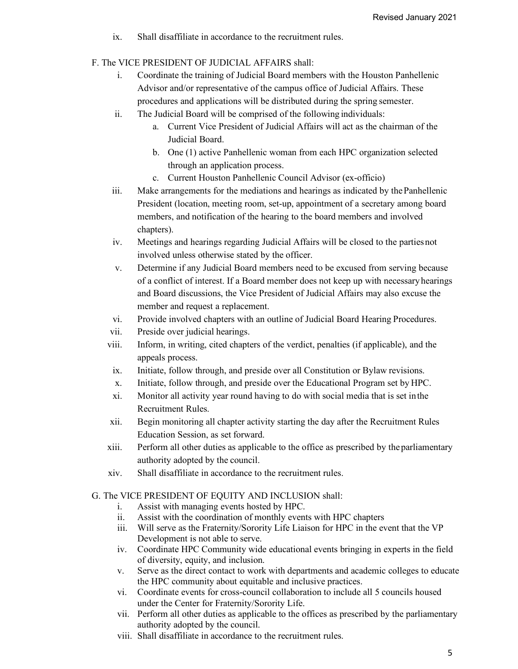- ix. Shall disaffiliate in accordance to the recruitment rules.
- F. The VICE PRESIDENT OF JUDICIAL AFFAIRS shall:
	- i. Coordinate the training of Judicial Board members with the Houston Panhellenic Advisor and/or representative of the campus office of Judicial Affairs. These procedures and applications will be distributed during the spring semester.
	- ii. The Judicial Board will be comprised of the following individuals:
		- a. Current Vice President of Judicial Affairs will act as the chairman of the Judicial Board.
		- b. One (1) active Panhellenic woman from each HPC organization selected through an application process.
		- c. Current Houston Panhellenic Council Advisor (ex-officio)
	- iii. Make arrangements for the mediations and hearings as indicated by thePanhellenic President (location, meeting room, set-up, appointment of a secretary among board members, and notification of the hearing to the board members and involved chapters).
	- iv. Meetings and hearings regarding Judicial Affairs will be closed to the partiesnot involved unless otherwise stated by the officer.
	- v. Determine if any Judicial Board members need to be excused from serving because of a conflict of interest. If a Board member does not keep up with necessary hearings and Board discussions, the Vice President of Judicial Affairs may also excuse the member and request a replacement.
	- vi. Provide involved chapters with an outline of Judicial Board Hearing Procedures.
	- vii. Preside over judicial hearings.
	- viii. Inform, in writing, cited chapters of the verdict, penalties (if applicable), and the appeals process.
		- ix. Initiate, follow through, and preside over all Constitution or Bylaw revisions.
		- x. Initiate, follow through, and preside over the Educational Program set by HPC.
		- xi. Monitor all activity year round having to do with social media that is set inthe Recruitment Rules.
	- xii. Begin monitoring all chapter activity starting the day after the Recruitment Rules Education Session, as set forward.
	- xiii. Perform all other duties as applicable to the office as prescribed by theparliamentary authority adopted by the council.
	- xiv. Shall disaffiliate in accordance to the recruitment rules.
- G. The VICE PRESIDENT OF EQUITY AND INCLUSION shall:
	- i. Assist with managing events hosted by HPC.
	- ii. Assist with the coordination of monthly events with HPC chapters
	- iii. Will serve as the Fraternity/Sorority Life Liaison for HPC in the event that the VP Development is not able to serve.
	- iv. Coordinate HPC Community wide educational events bringing in experts in the field of diversity, equity, and inclusion.
	- v. Serve as the direct contact to work with departments and academic colleges to educate the HPC community about equitable and inclusive practices.
	- vi. Coordinate events for cross-council collaboration to include all 5 councils housed under the Center for Fraternity/Sorority Life.
	- vii. Perform all other duties as applicable to the offices as prescribed by the parliamentary authority adopted by the council.
	- viii. Shall disaffiliate in accordance to the recruitment rules.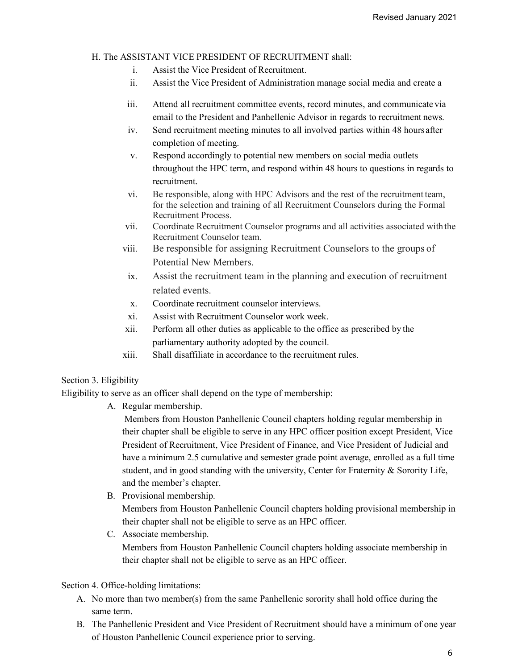#### H. The ASSISTANT VICE PRESIDENT OF RECRUITMENT shall:

- i. Assist the Vice President of Recruitment.
- ii. Assist the Vice President of Administration manage social media and create a
- iii. Attend all recruitment committee events, record minutes, and communicate via email to the President and Panhellenic Advisor in regards to recruitment news.
- iv. Send recruitment meeting minutes to all involved parties within 48 hoursafter completion of meeting.
- v. Respond accordingly to potential new members on social media outlets throughout the HPC term, and respond within 48 hours to questions in regards to recruitment.
- vi. Be responsible, along with HPC Advisors and the rest of the recruitment team, for the selection and training of all Recruitment Counselors during the Formal Recruitment Process.
- vii. Coordinate Recruitment Counselor programs and all activities associated with the Recruitment Counselor team.
- viii. Be responsible for assigning Recruitment Counselors to the groups of Potential New Members.
- ix. Assist the recruitment team in the planning and execution of recruitment related events.
- x. Coordinate recruitment counselor interviews.
- xi. Assist with Recruitment Counselor work week.
- xii. Perform all other duties as applicable to the office as prescribed by the parliamentary authority adopted by the council.
- xiii. Shall disaffiliate in accordance to the recruitment rules.

## Section 3. Eligibility

Eligibility to serve as an officer shall depend on the type of membership:

A. Regular membership.

Members from Houston Panhellenic Council chapters holding regular membership in their chapter shall be eligible to serve in any HPC officer position except President, Vice President of Recruitment, Vice President of Finance, and Vice President of Judicial and have a minimum 2.5 cumulative and semester grade point average, enrolled as a full time student, and in good standing with the university, Center for Fraternity & Sorority Life, and the member's chapter.

- B. Provisional membership. Members from Houston Panhellenic Council chapters holding provisional membership in their chapter shall not be eligible to serve as an HPC officer.
- C. Associate membership. Members from Houston Panhellenic Council chapters holding associate membership in their chapter shall not be eligible to serve as an HPC officer.

Section 4. Office-holding limitations:

- A. No more than two member(s) from the same Panhellenic sorority shall hold office during the same term.
- B. The Panhellenic President and Vice President of Recruitment should have a minimum of one year of Houston Panhellenic Council experience prior to serving.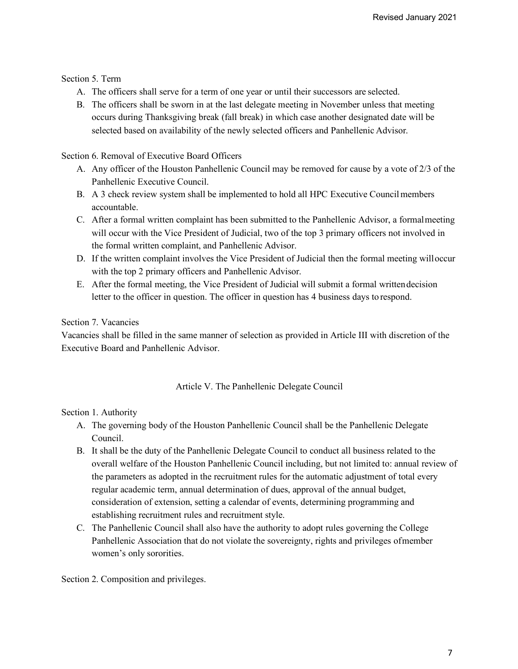Section 5. Term

- A. The officers shall serve for a term of one year or until their successors are selected.
- B. The officers shall be sworn in at the last delegate meeting in November unless that meeting occurs during Thanksgiving break (fall break) in which case another designated date will be selected based on availability of the newly selected officers and Panhellenic Advisor.

Section 6. Removal of Executive Board Officers

- A. Any officer of the Houston Panhellenic Council may be removed for cause by a vote of 2/3 of the Panhellenic Executive Council.
- B. A 3 check review system shall be implemented to hold all HPC Executive Councilmembers accountable.
- C. After a formal written complaint has been submitted to the Panhellenic Advisor, a formalmeeting will occur with the Vice President of Judicial, two of the top 3 primary officers not involved in the formal written complaint, and Panhellenic Advisor.
- D. If the written complaint involves the Vice President of Judicial then the formal meeting willoccur with the top 2 primary officers and Panhellenic Advisor.
- E. After the formal meeting, the Vice President of Judicial will submit a formal writtendecision letter to the officer in question. The officer in question has 4 business days to respond.

# Section 7. Vacancies

Vacancies shall be filled in the same manner of selection as provided in Article III with discretion of the Executive Board and Panhellenic Advisor.

## Article V. The Panhellenic Delegate Council

Section 1. Authority

- A. The governing body of the Houston Panhellenic Council shall be the Panhellenic Delegate Council.
- B. It shall be the duty of the Panhellenic Delegate Council to conduct all business related to the overall welfare of the Houston Panhellenic Council including, but not limited to: annual review of the parameters as adopted in the recruitment rules for the automatic adjustment of total every regular academic term, annual determination of dues, approval of the annual budget, consideration of extension, setting a calendar of events, determining programming and establishing recruitment rules and recruitment style.
- C. The Panhellenic Council shall also have the authority to adopt rules governing the College Panhellenic Association that do not violate the sovereignty, rights and privileges ofmember women's only sororities.

Section 2. Composition and privileges.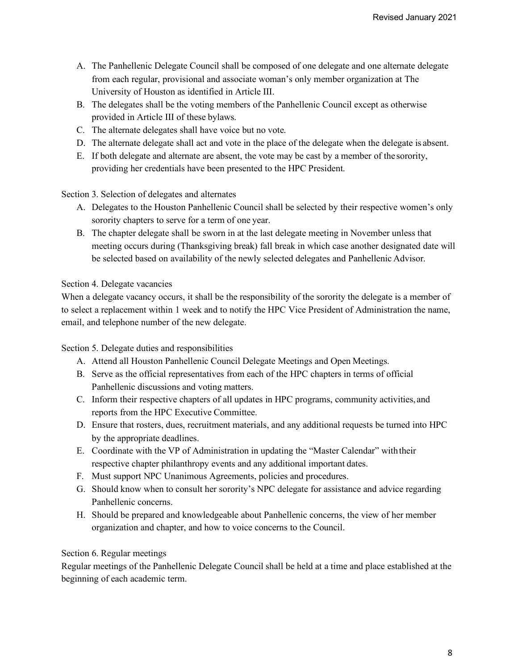- A. The Panhellenic Delegate Council shall be composed of one delegate and one alternate delegate from each regular, provisional and associate woman's only member organization at The University of Houston as identified in Article III.
- B. The delegates shall be the voting members of the Panhellenic Council except as otherwise provided in Article III of these bylaws.
- C. The alternate delegates shall have voice but no vote.
- D. The alternate delegate shall act and vote in the place of the delegate when the delegate is absent.
- E. If both delegate and alternate are absent, the vote may be cast by a member of the sorority, providing her credentials have been presented to the HPC President.

Section 3. Selection of delegates and alternates

- A. Delegates to the Houston Panhellenic Council shall be selected by their respective women's only sorority chapters to serve for a term of one year.
- B. The chapter delegate shall be sworn in at the last delegate meeting in November unless that meeting occurs during (Thanksgiving break) fall break in which case another designated date will be selected based on availability of the newly selected delegates and Panhellenic Advisor.

### Section 4. Delegate vacancies

When a delegate vacancy occurs, it shall be the responsibility of the sorority the delegate is a member of to select a replacement within 1 week and to notify the HPC Vice President of Administration the name, email, and telephone number of the new delegate.

Section 5. Delegate duties and responsibilities

- A. Attend all Houston Panhellenic Council Delegate Meetings and Open Meetings.
- B. Serve as the official representatives from each of the HPC chapters in terms of official Panhellenic discussions and voting matters.
- C. Inform their respective chapters of all updates in HPC programs, community activities, and reports from the HPC Executive Committee.
- D. Ensure that rosters, dues, recruitment materials, and any additional requests be turned into HPC by the appropriate deadlines.
- E. Coordinate with the VP of Administration in updating the "Master Calendar" withtheir respective chapter philanthropy events and any additional important dates.
- F. Must support NPC Unanimous Agreements, policies and procedures.
- G. Should know when to consult her sorority's NPC delegate for assistance and advice regarding Panhellenic concerns.
- H. Should be prepared and knowledgeable about Panhellenic concerns, the view of her member organization and chapter, and how to voice concerns to the Council.

## Section 6. Regular meetings

Regular meetings of the Panhellenic Delegate Council shall be held at a time and place established at the beginning of each academic term.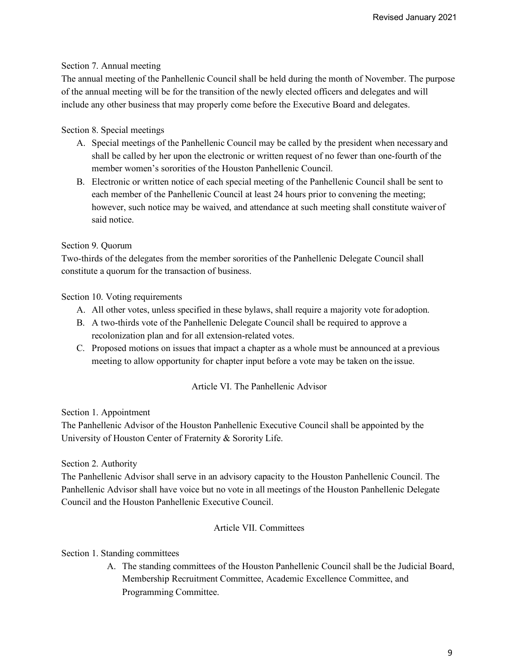## Section 7. Annual meeting

The annual meeting of the Panhellenic Council shall be held during the month of November. The purpose of the annual meeting will be for the transition of the newly elected officers and delegates and will include any other business that may properly come before the Executive Board and delegates.

# Section 8. Special meetings

- A. Special meetings of the Panhellenic Council may be called by the president when necessary and shall be called by her upon the electronic or written request of no fewer than one-fourth of the member women's sororities of the Houston Panhellenic Council.
- B. Electronic or written notice of each special meeting of the Panhellenic Council shall be sent to each member of the Panhellenic Council at least 24 hours prior to convening the meeting; however, such notice may be waived, and attendance at such meeting shall constitute waiver of said notice.

# Section 9. Quorum

Two-thirds of the delegates from the member sororities of the Panhellenic Delegate Council shall constitute a quorum for the transaction of business.

## Section 10. Voting requirements

- A. All other votes, unless specified in these bylaws, shall require a majority vote for adoption.
- B. A two-thirds vote of the Panhellenic Delegate Council shall be required to approve a recolonization plan and for all extension-related votes.
- C. Proposed motions on issues that impact a chapter as a whole must be announced at a previous meeting to allow opportunity for chapter input before a vote may be taken on the issue.

## Article VI. The Panhellenic Advisor

Section 1. Appointment

The Panhellenic Advisor of the Houston Panhellenic Executive Council shall be appointed by the University of Houston Center of Fraternity & Sorority Life.

## Section 2. Authority

The Panhellenic Advisor shall serve in an advisory capacity to the Houston Panhellenic Council. The Panhellenic Advisor shall have voice but no vote in all meetings of the Houston Panhellenic Delegate Council and the Houston Panhellenic Executive Council.

## Article VII. Committees

## Section 1. Standing committees

A. The standing committees of the Houston Panhellenic Council shall be the Judicial Board, Membership Recruitment Committee, Academic Excellence Committee, and Programming Committee.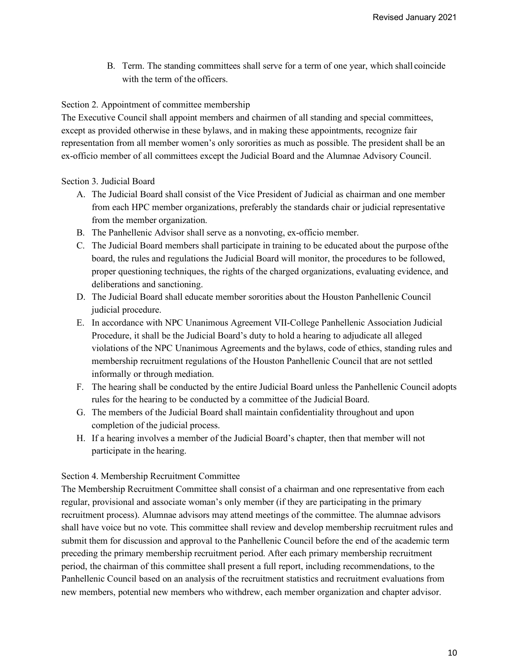B. Term. The standing committees shall serve for a term of one year, which shall coincide with the term of the officers.

# Section 2. Appointment of committee membership

The Executive Council shall appoint members and chairmen of all standing and special committees, except as provided otherwise in these bylaws, and in making these appointments, recognize fair representation from all member women's only sororities as much as possible. The president shall be an ex-officio member of all committees except the Judicial Board and the Alumnae Advisory Council.

# Section 3. Judicial Board

- A. The Judicial Board shall consist of the Vice President of Judicial as chairman and one member from each HPC member organizations, preferably the standards chair or judicial representative from the member organization.
- B. The Panhellenic Advisor shall serve as a nonvoting, ex-officio member.
- C. The Judicial Board members shall participate in training to be educated about the purpose ofthe board, the rules and regulations the Judicial Board will monitor, the procedures to be followed, proper questioning techniques, the rights of the charged organizations, evaluating evidence, and deliberations and sanctioning.
- D. The Judicial Board shall educate member sororities about the Houston Panhellenic Council judicial procedure.
- E. In accordance with NPC Unanimous Agreement VII-College Panhellenic Association Judicial Procedure, it shall be the Judicial Board's duty to hold a hearing to adjudicate all alleged violations of the NPC Unanimous Agreements and the bylaws, code of ethics, standing rules and membership recruitment regulations of the Houston Panhellenic Council that are not settled informally or through mediation.
- F. The hearing shall be conducted by the entire Judicial Board unless the Panhellenic Council adopts rules for the hearing to be conducted by a committee of the Judicial Board.
- G. The members of the Judicial Board shall maintain confidentiality throughout and upon completion of the judicial process.
- H. If a hearing involves a member of the Judicial Board's chapter, then that member will not participate in the hearing.

## Section 4. Membership Recruitment Committee

The Membership Recruitment Committee shall consist of a chairman and one representative from each regular, provisional and associate woman's only member (if they are participating in the primary recruitment process). Alumnae advisors may attend meetings of the committee. The alumnae advisors shall have voice but no vote. This committee shall review and develop membership recruitment rules and submit them for discussion and approval to the Panhellenic Council before the end of the academic term preceding the primary membership recruitment period. After each primary membership recruitment period, the chairman of this committee shall present a full report, including recommendations, to the Panhellenic Council based on an analysis of the recruitment statistics and recruitment evaluations from new members, potential new members who withdrew, each member organization and chapter advisor.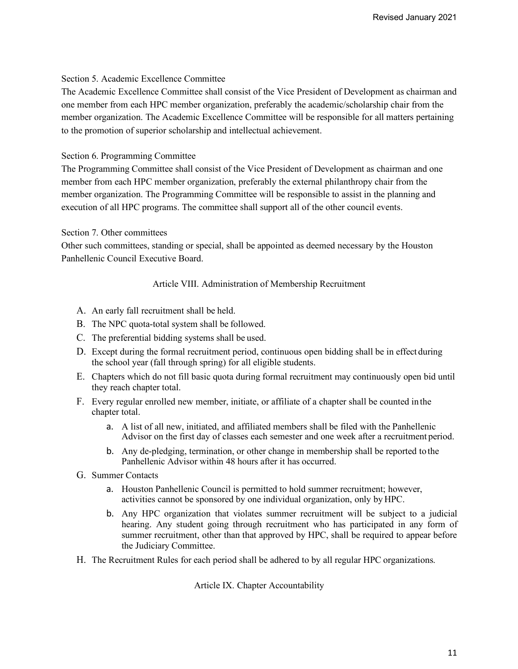### Section 5. Academic Excellence Committee

The Academic Excellence Committee shall consist of the Vice President of Development as chairman and one member from each HPC member organization, preferably the academic/scholarship chair from the member organization. The Academic Excellence Committee will be responsible for all matters pertaining to the promotion of superior scholarship and intellectual achievement.

### Section 6. Programming Committee

The Programming Committee shall consist of the Vice President of Development as chairman and one member from each HPC member organization, preferably the external philanthropy chair from the member organization. The Programming Committee will be responsible to assist in the planning and execution of all HPC programs. The committee shall support all of the other council events.

### Section 7. Other committees

Other such committees, standing or special, shall be appointed as deemed necessary by the Houston Panhellenic Council Executive Board.

### Article VIII. Administration of Membership Recruitment

- A. An early fall recruitment shall be held.
- B. The NPC quota-total system shall be followed.
- C. The preferential bidding systems shall be used.
- D. Except during the formal recruitment period, continuous open bidding shall be in effect during the school year (fall through spring) for all eligible students.
- E. Chapters which do not fill basic quota during formal recruitment may continuously open bid until they reach chapter total.
- F. Every regular enrolled new member, initiate, or affiliate of a chapter shall be counted in the chapter total.
	- a. A list of all new, initiated, and affiliated members shall be filed with the Panhellenic Advisor on the first day of classes each semester and one week after a recruitment period.
	- b. Any de-pledging, termination, or other change in membership shall be reported to the Panhellenic Advisor within 48 hours after it has occurred.
- G. Summer Contacts
	- a. Houston Panhellenic Council is permitted to hold summer recruitment; however, activities cannot be sponsored by one individual organization, only by HPC.
	- b. Any HPC organization that violates summer recruitment will be subject to a judicial hearing. Any student going through recruitment who has participated in any form of summer recruitment, other than that approved by HPC, shall be required to appear before the Judiciary Committee.
- H. The Recruitment Rules for each period shall be adhered to by all regular HPC organizations.

Article IX. Chapter Accountability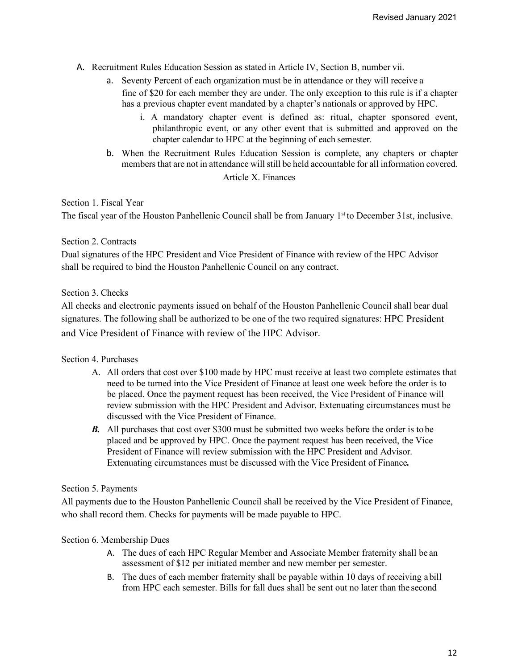- A. Recruitment Rules Education Session as stated in Article IV, Section B, number vii.
	- a. Seventy Percent of each organization must be in attendance or they will receive a fine of \$20 for each member they are under. The only exception to this rule is if a chapter has a previous chapter event mandated by a chapter's nationals or approved by HPC.
		- i. A mandatory chapter event is defined as: ritual, chapter sponsored event, philanthropic event, or any other event that is submitted and approved on the chapter calendar to HPC at the beginning of each semester.
	- b. When the Recruitment Rules Education Session is complete, any chapters or chapter members that are not in attendance will still be held accountable for all information covered. Article X. Finances

### Section 1. Fiscal Year

The fiscal year of the Houston Panhellenic Council shall be from January 1<sup>st</sup> to December 31st, inclusive.

### Section 2. Contracts

Dual signatures of the HPC President and Vice President of Finance with review of the HPC Advisor shall be required to bind the Houston Panhellenic Council on any contract.

## Section 3. Checks

All checks and electronic payments issued on behalf of the Houston Panhellenic Council shall bear dual signatures. The following shall be authorized to be one of the two required signatures: HPC President and Vice President of Finance with review of the HPC Advisor.

## Section 4. Purchases

- A. All orders that cost over \$100 made by HPC must receive at least two complete estimates that need to be turned into the Vice President of Finance at least one week before the order is to be placed. Once the payment request has been received, the Vice President of Finance will review submission with the HPC President and Advisor. Extenuating circumstances must be discussed with the Vice President of Finance.
- **B.** All purchases that cost over \$300 must be submitted two weeks before the order is to be placed and be approved by HPC. Once the payment request has been received, the Vice President of Finance will review submission with the HPC President and Advisor. Extenuating circumstances must be discussed with the Vice President of Finance*.*

#### Section 5. Payments

All payments due to the Houston Panhellenic Council shall be received by the Vice President of Finance, who shall record them. Checks for payments will be made payable to HPC.

#### Section 6. Membership Dues

- A. The dues of each HPC Regular Member and Associate Member fraternity shall be an assessment of \$12 per initiated member and new member per semester.
- B. The dues of each member fraternity shall be payable within 10 days of receiving abill from HPC each semester. Bills for fall dues shall be sent out no later than the second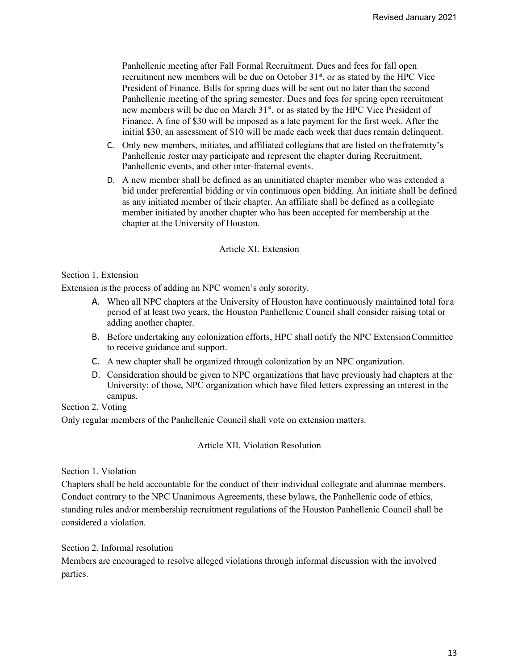Panhellenic meeting after Fall Formal Recruitment. Dues and fees for fall open recruitment new members will be due on October 31<sup>st</sup>, or as stated by the HPC Vice President of Finance. Bills for spring dues will be sent out no later than the second Panhellenic meeting of the spring semester. Dues and fees for spring open recruitment new members will be due on March 31<sup>st</sup>, or as stated by the HPC Vice President of Finance. A fine of \$30 will be imposed as a late payment for the first week. After the initial \$30, an assessment of \$10 will be made each week that dues remain delinquent.

- C. Only new members, initiates, and affiliated collegians that are listed on thefraternity's Panhellenic roster may participate and represent the chapter during Recruitment, Panhellenic events, and other inter-fraternal events.
- D. A new member shall be defined as an uninitiated chapter member who was extended a bid under preferential bidding or via continuous open bidding. An initiate shall be defined as any initiated member of their chapter. An affiliate shall be defined as a collegiate member initiated by another chapter who has been accepted for membership at the chapter at the University of Houston.

## Article XI. Extension

#### Section 1. Extension

Extension is the process of adding an NPC women's only sorority.

- A. When all NPC chapters at the University of Houston have continuously maintained total for a period of at least two years, the Houston Panhellenic Council shall consider raising total or adding another chapter.
- B. Before undertaking any colonization efforts, HPC shall notify the NPC ExtensionCommittee to receive guidance and support.
- C. A new chapter shall be organized through colonization by an NPC organization.
- D. Consideration should be given to NPC organizations that have previously had chapters at the University; of those, NPC organization which have filed letters expressing an interest in the campus.

Section 2. Voting

Only regular members of the Panhellenic Council shall vote on extension matters.

Article XII. Violation Resolution

#### Section 1. Violation

Chapters shall be held accountable for the conduct of their individual collegiate and alumnae members. Conduct contrary to the NPC Unanimous Agreements, these bylaws, the Panhellenic code of ethics, standing rules and/or membership recruitment regulations of the Houston Panhellenic Council shall be considered a violation.

Section 2. Informal resolution

Members are encouraged to resolve alleged violations through informal discussion with the involved parties.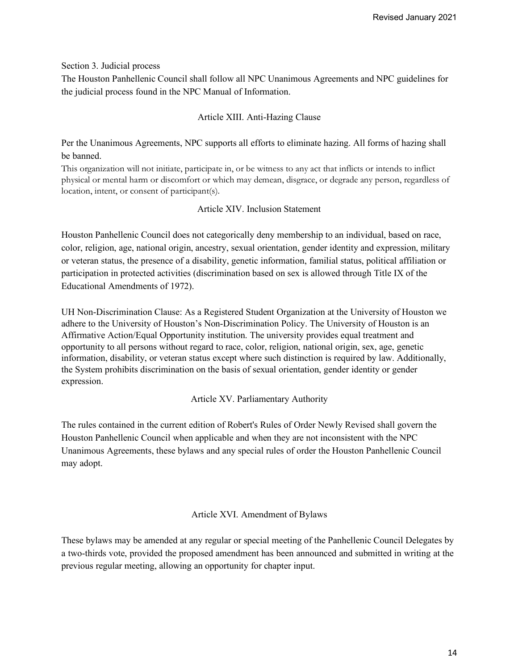### Section 3. Judicial process

The Houston Panhellenic Council shall follow all NPC Unanimous Agreements and NPC guidelines for the judicial process found in the NPC Manual of Information.

## Article XIII. Anti-Hazing Clause

Per the Unanimous Agreements, NPC supports all efforts to eliminate hazing. All forms of hazing shall be banned.

This organization will not initiate, participate in, or be witness to any act that inflicts or intends to inflict physical or mental harm or discomfort or which may demean, disgrace, or degrade any person, regardless of location, intent, or consent of participant(s).

## Article XIV. Inclusion Statement

Houston Panhellenic Council does not categorically deny membership to an individual, based on race, color, religion, age, national origin, ancestry, sexual orientation, gender identity and expression, military or veteran status, the presence of a disability, genetic information, familial status, political affiliation or participation in protected activities (discrimination based on sex is allowed through Title IX of the Educational Amendments of 1972).

UH Non-Discrimination Clause: As a Registered Student Organization at the University of Houston we adhere to the University of Houston's Non-Discrimination Policy. The University of Houston is an Affirmative Action/Equal Opportunity institution. The university provides equal treatment and opportunity to all persons without regard to race, color, religion, national origin, sex, age, genetic information, disability, or veteran status except where such distinction is required by law. Additionally, the System prohibits discrimination on the basis of sexual orientation, gender identity or gender expression.

## Article XV. Parliamentary Authority

The rules contained in the current edition of Robert's Rules of Order Newly Revised shall govern the Houston Panhellenic Council when applicable and when they are not inconsistent with the NPC Unanimous Agreements, these bylaws and any special rules of order the Houston Panhellenic Council may adopt.

## Article XVI. Amendment of Bylaws

These bylaws may be amended at any regular or special meeting of the Panhellenic Council Delegates by a two-thirds vote, provided the proposed amendment has been announced and submitted in writing at the previous regular meeting, allowing an opportunity for chapter input.